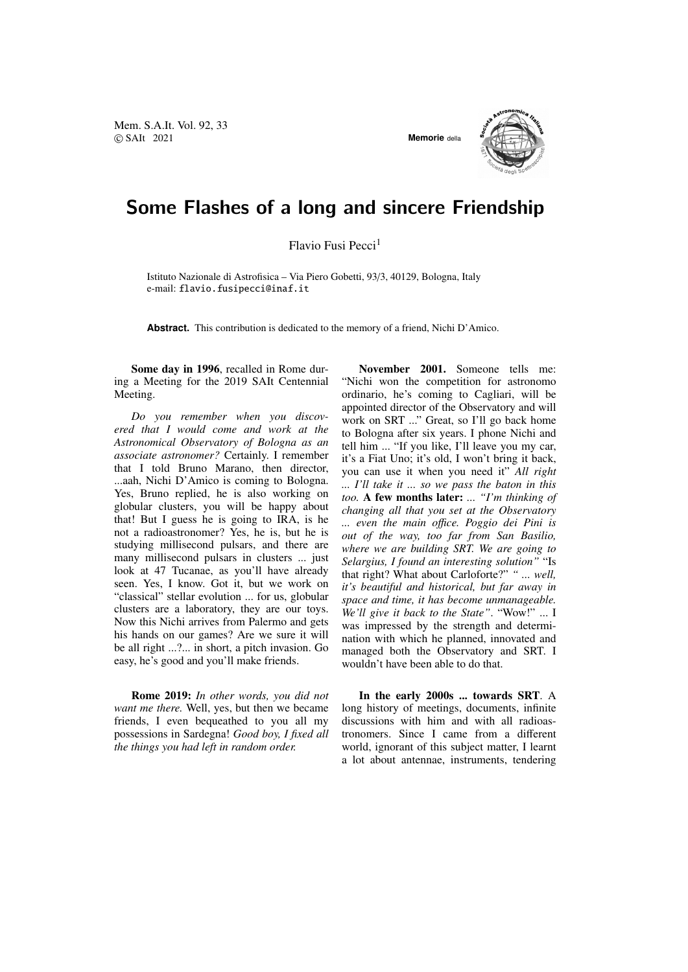Mem. S.A.It. Vol. 92, 33 © SAIt 2021 **Memorie** della



## Some Flashes of a long and sincere Friendship

Flavio Fusi Pecci<sup>1</sup>

Istituto Nazionale di Astrofisica – Via Piero Gobetti, 93/3, 40129, Bologna, Italy e-mail: flavio.fusipecci@inaf.it

**Abstract.** This contribution is dedicated to the memory of a friend, Nichi D'Amico.

Some day in 1996, recalled in Rome during a Meeting for the 2019 SAIt Centennial Meeting.

*Do you remember when you discovered that I would come and work at the Astronomical Observatory of Bologna as an associate astronomer?* Certainly. I remember that I told Bruno Marano, then director, ...aah, Nichi D'Amico is coming to Bologna. Yes, Bruno replied, he is also working on globular clusters, you will be happy about that! But I guess he is going to IRA, is he not a radioastronomer? Yes, he is, but he is studying millisecond pulsars, and there are many millisecond pulsars in clusters ... just look at 47 Tucanae, as you'll have already seen. Yes, I know. Got it, but we work on "classical" stellar evolution ... for us, globular clusters are a laboratory, they are our toys. Now this Nichi arrives from Palermo and gets his hands on our games? Are we sure it will be all right ...?... in short, a pitch invasion. Go easy, he's good and you'll make friends.

Rome 2019: *In other words, you did not want me there.* Well, yes, but then we became friends, I even bequeathed to you all my possessions in Sardegna! *Good boy, I fixed all the things you had left in random order.*

November 2001. Someone tells me: "Nichi won the competition for astronomo ordinario, he's coming to Cagliari, will be appointed director of the Observatory and will work on SRT ..." Great, so I'll go back home to Bologna after six years. I phone Nichi and tell him ... "If you like, I'll leave you my car, it's a Fiat Uno; it's old, I won't bring it back, you can use it when you need it" *All right ... I'll take it ... so we pass the baton in this too.* A few months later: *... "I'm thinking of changing all that you set at the Observatory ... even the main o*ffi*ce. Poggio dei Pini is out of the way, too far from San Basilio, where we are building SRT. We are going to Selargius, I found an interesting solution"* "Is that right? What about Carloforte?" *" ... well, it's beautiful and historical, but far away in space and time, it has become unmanageable. We'll give it back to the State"*. "Wow!" ... I was impressed by the strength and determination with which he planned, innovated and managed both the Observatory and SRT. I wouldn't have been able to do that.

In the early 2000s ... towards SRT. A long history of meetings, documents, infinite discussions with him and with all radioastronomers. Since I came from a different world, ignorant of this subject matter, I learnt a lot about antennae, instruments, tendering